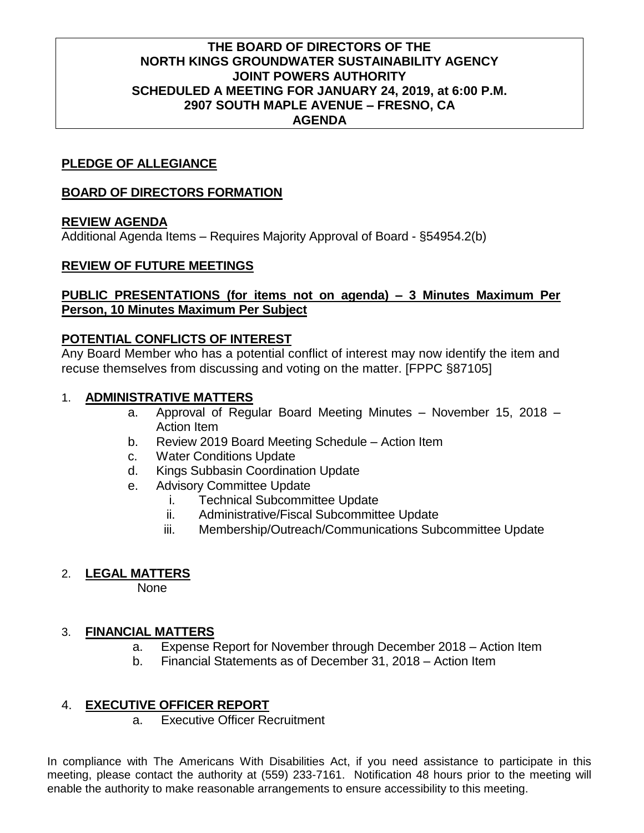## **THE BOARD OF DIRECTORS OF THE NORTH KINGS GROUNDWATER SUSTAINABILITY AGENCY JOINT POWERS AUTHORITY SCHEDULED A MEETING FOR JANUARY 24, 2019, at 6:00 P.M. 2907 SOUTH MAPLE AVENUE – FRESNO, CA AGENDA**

## **PLEDGE OF ALLEGIANCE**

#### **BOARD OF DIRECTORS FORMATION**

#### **REVIEW AGENDA**

Additional Agenda Items – Requires Majority Approval of Board - §54954.2(b)

#### **REVIEW OF FUTURE MEETINGS**

## **PUBLIC PRESENTATIONS (for items not on agenda) – 3 Minutes Maximum Per Person, 10 Minutes Maximum Per Subject**

## **POTENTIAL CONFLICTS OF INTEREST**

Any Board Member who has a potential conflict of interest may now identify the item and recuse themselves from discussing and voting on the matter. [FPPC §87105]

#### 1. **ADMINISTRATIVE MATTERS**

- a. Approval of Regular Board Meeting Minutes November 15, 2018 Action Item
- b. Review 2019 Board Meeting Schedule Action Item
- c. Water Conditions Update
- d. Kings Subbasin Coordination Update
- e. Advisory Committee Update
	- i. Technical Subcommittee Update
	- ii. Administrative/Fiscal Subcommittee Update
	- iii. Membership/Outreach/Communications Subcommittee Update

## 2. **LEGAL MATTERS**

None

## 3. **FINANCIAL MATTERS**

- a. Expense Report for November through December 2018 Action Item
- b. Financial Statements as of December 31, 2018 Action Item

## 4. **EXECUTIVE OFFICER REPORT**

a. Executive Officer Recruitment

In compliance with The Americans With Disabilities Act, if you need assistance to participate in this meeting, please contact the authority at (559) 233-7161. Notification 48 hours prior to the meeting will enable the authority to make reasonable arrangements to ensure accessibility to this meeting.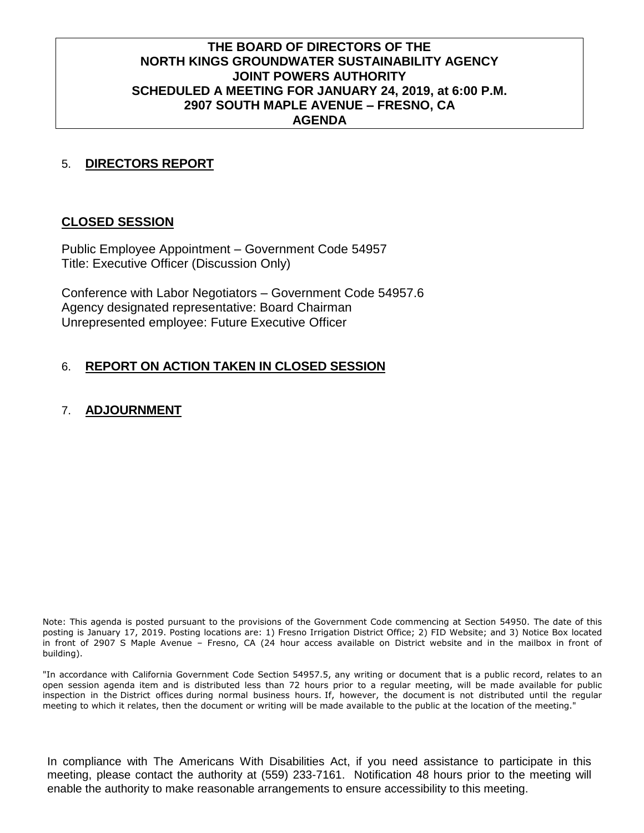## **THE BOARD OF DIRECTORS OF THE NORTH KINGS GROUNDWATER SUSTAINABILITY AGENCY JOINT POWERS AUTHORITY SCHEDULED A MEETING FOR JANUARY 24, 2019, at 6:00 P.M. 2907 SOUTH MAPLE AVENUE – FRESNO, CA AGENDA**

## 5. **DIRECTORS REPORT**

#### **CLOSED SESSION**

Public Employee Appointment – Government Code 54957 Title: Executive Officer (Discussion Only)

Conference with Labor Negotiators – Government Code 54957.6 Agency designated representative: Board Chairman Unrepresented employee: Future Executive Officer

## 6. **REPORT ON ACTION TAKEN IN CLOSED SESSION**

## 7. **ADJOURNMENT**

Note: This agenda is posted pursuant to the provisions of the Government Code commencing at Section 54950. The date of this posting is January 17, 2019. Posting locations are: 1) Fresno Irrigation District Office; 2) FID Website; and 3) Notice Box located in front of 2907 S Maple Avenue – Fresno, CA (24 hour access available on District website and in the mailbox in front of building).

"In accordance with California Government Code Section 54957.5, any writing or document that is a public record, relates to an open session agenda item and is distributed less than 72 hours prior to a regular meeting, will be made available for public inspection in the District offices during normal business hours. If, however, the document is not distributed until the regular meeting to which it relates, then the document or writing will be made available to the public at the location of the meeting."

In compliance with The Americans With Disabilities Act, if you need assistance to participate in this meeting, please contact the authority at (559) 233-7161. Notification 48 hours prior to the meeting will enable the authority to make reasonable arrangements to ensure accessibility to this meeting.